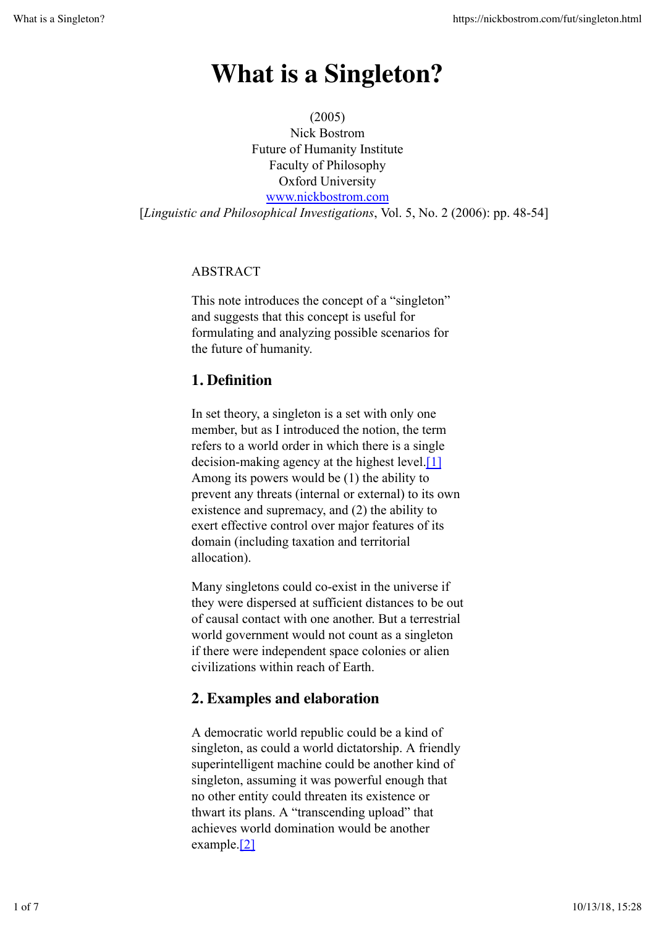# **What is a Singleton?**

(2005) Nick Bostrom Future of Humanity Institute Faculty of Philosophy Oxford University www.nickbostrom.com [*Linguistic and Philosophical Investigations*, Vol. 5, No. 2 (2006): pp. 48-54]

#### ABSTRACT

This note introduces the concept of a "singleton" and suggests that this concept is useful for formulating and analyzing possible scenarios for the future of humanity.

## **1. Definition**

In set theory, a singleton is a set with only one member, but as I introduced the notion, the term refers to a world order in which there is a single decision-making agency at the highest level.[1] Among its powers would be (1) the ability to prevent any threats (internal or external) to its own existence and supremacy, and (2) the ability to exert effective control over major features of its domain (including taxation and territorial allocation).

Many singletons could co-exist in the universe if they were dispersed at sufficient distances to be out of causal contact with one another. But a terrestrial world government would not count as a singleton if there were independent space colonies or alien civilizations within reach of Earth.

## **2. Examples and elaboration**

A democratic world republic could be a kind of singleton, as could a world dictatorship. A friendly superintelligent machine could be another kind of singleton, assuming it was powerful enough that no other entity could threaten its existence or thwart its plans. A "transcending upload" that achieves world domination would be another example.[2]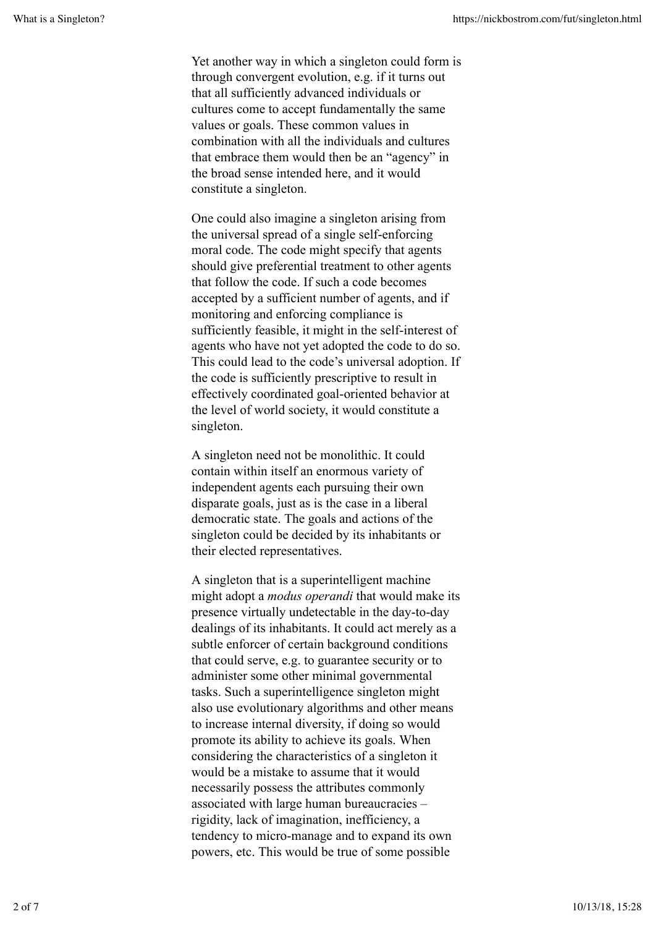Yet another way in which a singleton could form is through convergent evolution, e.g. if it turns out that all sufficiently advanced individuals or cultures come to accept fundamentally the same values or goals. These common values in combination with all the individuals and cultures that embrace them would then be an "agency" in the broad sense intended here, and it would constitute a singleton.

One could also imagine a singleton arising from the universal spread of a single self-enforcing moral code. The code might specify that agents should give preferential treatment to other agents that follow the code. If such a code becomes accepted by a sufficient number of agents, and if monitoring and enforcing compliance is sufficiently feasible, it might in the self-interest of agents who have not yet adopted the code to do so. This could lead to the code's universal adoption. If the code is sufficiently prescriptive to result in effectively coordinated goal-oriented behavior at the level of world society, it would constitute a singleton.

A singleton need not be monolithic. It could contain within itself an enormous variety of independent agents each pursuing their own disparate goals, just as is the case in a liberal democratic state. The goals and actions of the singleton could be decided by its inhabitants or their elected representatives.

A singleton that is a superintelligent machine might adopt a *modus operandi* that would make its presence virtually undetectable in the day-to-day dealings of its inhabitants. It could act merely as a subtle enforcer of certain background conditions that could serve, e.g. to guarantee security or to administer some other minimal governmental tasks. Such a superintelligence singleton might also use evolutionary algorithms and other means to increase internal diversity, if doing so would promote its ability to achieve its goals. When considering the characteristics of a singleton it would be a mistake to assume that it would necessarily possess the attributes commonly associated with large human bureaucracies – rigidity, lack of imagination, inefficiency, a tendency to micro-manage and to expand its own powers, etc. This would be true of some possible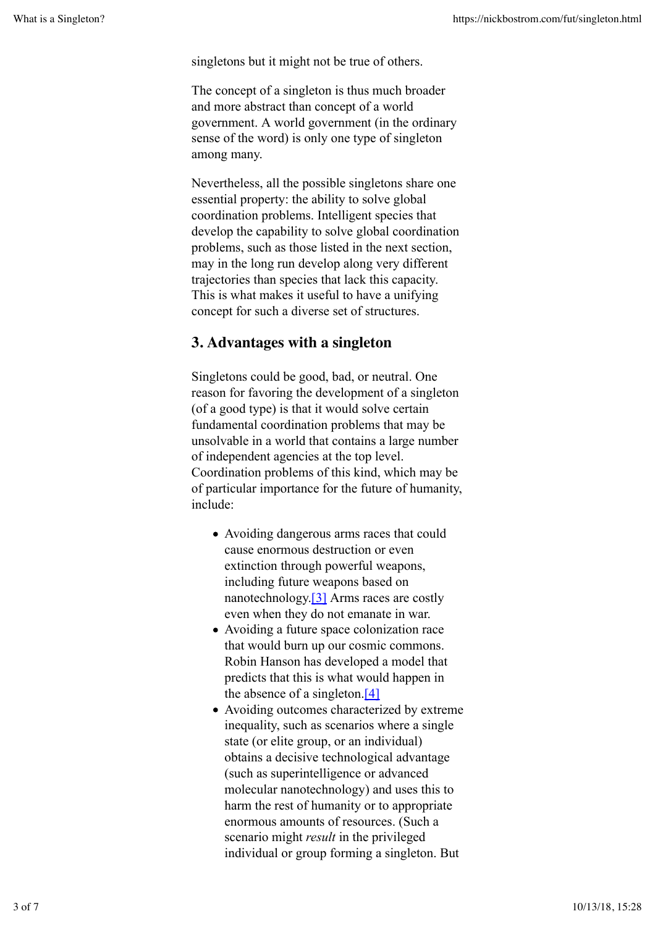singletons but it might not be true of others.

The concept of a singleton is thus much broader and more abstract than concept of a world government. A world government (in the ordinary sense of the word) is only one type of singleton among many.

Nevertheless, all the possible singletons share one essential property: the ability to solve global coordination problems. Intelligent species that develop the capability to solve global coordination problems, such as those listed in the next section, may in the long run develop along very different trajectories than species that lack this capacity. This is what makes it useful to have a unifying concept for such a diverse set of structures.

## **3. Advantages with a singleton**

Singletons could be good, bad, or neutral. One reason for favoring the development of a singleton (of a good type) is that it would solve certain fundamental coordination problems that may be unsolvable in a world that contains a large number of independent agencies at the top level. Coordination problems of this kind, which may be of particular importance for the future of humanity, include:

- Avoiding dangerous arms races that could cause enormous destruction or even extinction through powerful weapons, including future weapons based on nanotechnology.[3] Arms races are costly even when they do not emanate in war.
- Avoiding a future space colonization race that would burn up our cosmic commons. Robin Hanson has developed a model that predicts that this is what would happen in the absence of a singleton.[4]
- Avoiding outcomes characterized by extreme inequality, such as scenarios where a single state (or elite group, or an individual) obtains a decisive technological advantage (such as superintelligence or advanced molecular nanotechnology) and uses this to harm the rest of humanity or to appropriate enormous amounts of resources. (Such a scenario might *result* in the privileged individual or group forming a singleton. But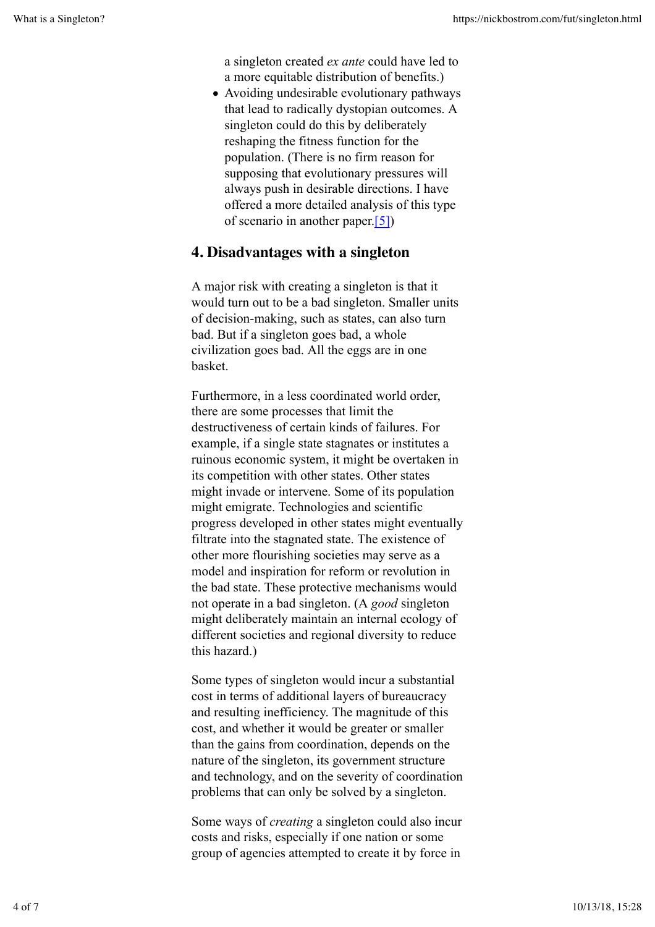a singleton created *ex ante* could have led to a more equitable distribution of benefits.)

Avoiding undesirable evolutionary pathways that lead to radically dystopian outcomes. A singleton could do this by deliberately reshaping the fitness function for the population. (There is no firm reason for supposing that evolutionary pressures will always push in desirable directions. I have offered a more detailed analysis of this type of scenario in another paper.[5])

#### **4. Disadvantages with a singleton**

A major risk with creating a singleton is that it would turn out to be a bad singleton. Smaller units of decision-making, such as states, can also turn bad. But if a singleton goes bad, a whole civilization goes bad. All the eggs are in one basket.

Furthermore, in a less coordinated world order, there are some processes that limit the destructiveness of certain kinds of failures. For example, if a single state stagnates or institutes a ruinous economic system, it might be overtaken in its competition with other states. Other states might invade or intervene. Some of its population might emigrate. Technologies and scientific progress developed in other states might eventually filtrate into the stagnated state. The existence of other more flourishing societies may serve as a model and inspiration for reform or revolution in the bad state. These protective mechanisms would not operate in a bad singleton. (A *good* singleton might deliberately maintain an internal ecology of different societies and regional diversity to reduce this hazard.)

Some types of singleton would incur a substantial cost in terms of additional layers of bureaucracy and resulting inefficiency. The magnitude of this cost, and whether it would be greater or smaller than the gains from coordination, depends on the nature of the singleton, its government structure and technology, and on the severity of coordination problems that can only be solved by a singleton.

Some ways of *creating* a singleton could also incur costs and risks, especially if one nation or some group of agencies attempted to create it by force in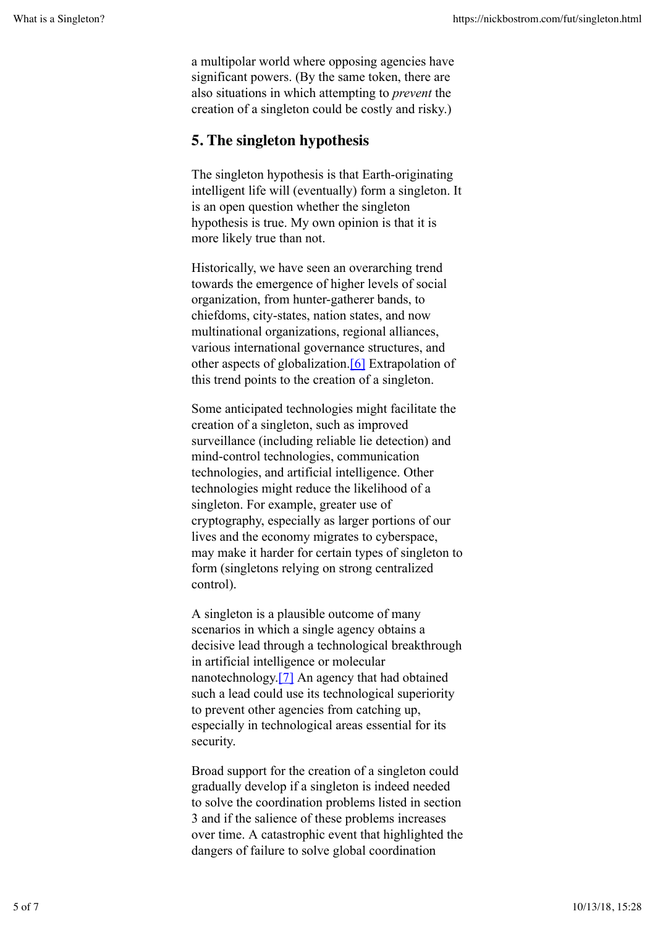a multipolar world where opposing agencies have significant powers. (By the same token, there are also situations in which attempting to *prevent* the creation of a singleton could be costly and risky.)

## **5. The singleton hypothesis**

The singleton hypothesis is that Earth-originating intelligent life will (eventually) form a singleton. It is an open question whether the singleton hypothesis is true. My own opinion is that it is more likely true than not.

Historically, we have seen an overarching trend towards the emergence of higher levels of social organization, from hunter-gatherer bands, to chiefdoms, city-states, nation states, and now multinational organizations, regional alliances, various international governance structures, and other aspects of globalization.[6] Extrapolation of this trend points to the creation of a singleton.

Some anticipated technologies might facilitate the creation of a singleton, such as improved surveillance (including reliable lie detection) and mind-control technologies, communication technologies, and artificial intelligence. Other technologies might reduce the likelihood of a singleton. For example, greater use of cryptography, especially as larger portions of our lives and the economy migrates to cyberspace, may make it harder for certain types of singleton to form (singletons relying on strong centralized control).

A singleton is a plausible outcome of many scenarios in which a single agency obtains a decisive lead through a technological breakthrough in artificial intelligence or molecular nanotechnology.[7] An agency that had obtained such a lead could use its technological superiority to prevent other agencies from catching up, especially in technological areas essential for its security.

Broad support for the creation of a singleton could gradually develop if a singleton is indeed needed to solve the coordination problems listed in section 3 and if the salience of these problems increases over time. A catastrophic event that highlighted the dangers of failure to solve global coordination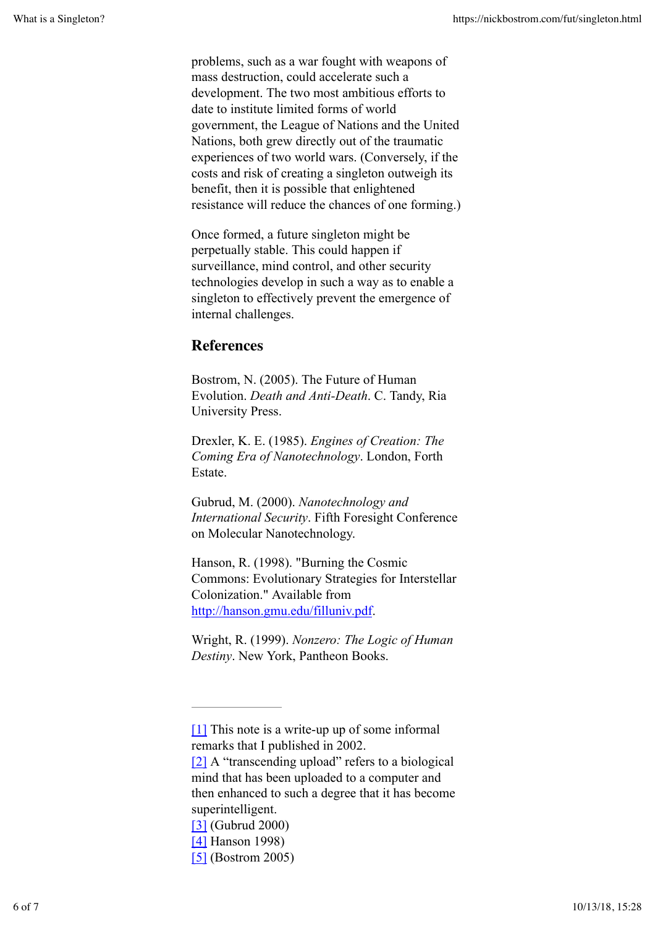problems, such as a war fought with weapons of mass destruction, could accelerate such a development. The two most ambitious efforts to date to institute limited forms of world government, the League of Nations and the United Nations, both grew directly out of the traumatic experiences of two world wars. (Conversely, if the costs and risk of creating a singleton outweigh its benefit, then it is possible that enlightened resistance will reduce the chances of one forming.)

Once formed, a future singleton might be perpetually stable. This could happen if surveillance, mind control, and other security technologies develop in such a way as to enable a singleton to effectively prevent the emergence of internal challenges.

#### **References**

Bostrom, N. (2005). The Future of Human Evolution. *Death and Anti-Death*. C. Tandy, Ria University Press.

Drexler, K. E. (1985). *Engines of Creation: The Coming Era of Nanotechnology*. London, Forth Estate.

Gubrud, M. (2000). *Nanotechnology and International Security*. Fifth Foresight Conference on Molecular Nanotechnology.

Hanson, R. (1998). "Burning the Cosmic Commons: Evolutionary Strategies for Interstellar Colonization." Available from http://hanson.gmu.edu/filluniv.pdf.

Wright, R. (1999). *Nonzero: The Logic of Human Destiny*. New York, Pantheon Books.

<sup>[1]</sup> This note is a write-up up of some informal remarks that I published in 2002.

<sup>[2]</sup> A "transcending upload" refers to a biological mind that has been uploaded to a computer and then enhanced to such a degree that it has become superintelligent.

<sup>[3] (</sup>Gubrud 2000)

<sup>[4]</sup> Hanson 1998)

<sup>[5] (</sup>Bostrom 2005)